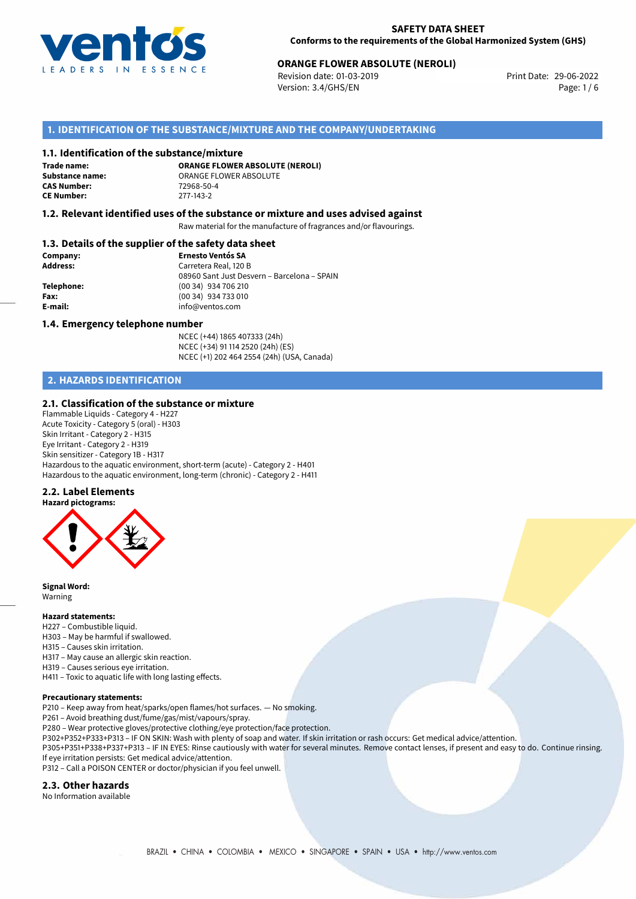

# **ORANGE FLOWER ABSOLUTE (NEROLI)**<br>
Revision date: 01-03-2019<br> **Print Date: 29-06-2022**

Revision date: 01-03-2019 Version: 3.4/GHS/EN Page: 1 / 6

# **1. IDENTIFICATION OF THE SUBSTANCE/MIXTURE AND THE COMPANY/UNDERTAKING**

### **1.1. Identification of the substance/mixture**

**Trade name: CAS Number: CE Number:** 277-143-2

**ORANGE FLOWER ABSOLUTE (NEROLI) Substance name:** ORANGE FLOWER ABSOLUTE<br> **CAS Number:** 72968-50-4

### **1.2. Relevant identified uses of the substance or mixture and uses advised against**

Raw material for the manufacture of fragrances and/or flavourings.

### **1.3. Details of the supplier of the safety data sheet**

| Company:        | <b>Ernesto Ventós SA</b>                    |
|-----------------|---------------------------------------------|
| <b>Address:</b> | Carretera Real, 120 B                       |
|                 | 08960 Sant Just Desvern - Barcelona - SPAIN |
| Telephone:      | (00 34) 934 706 210                         |
| Fax:            | (00 34) 934 733 010                         |
| E-mail:         | info@ventos.com                             |
|                 |                                             |

### **1.4. Emergency telephone number**

NCEC (+44) 1865 407333 (24h) NCEC (+34) 91 114 2520 (24h) (ES) NCEC (+1) 202 464 2554 (24h) (USA, Canada)

# **2. HAZARDS IDENTIFICATION**

### **2.1. Classification of the substance or mixture**

Flammable Liquids - Category 4 - H227 Acute Toxicity - Category 5 (oral) - H303 Skin Irritant - Category 2 - H315 Eye Irritant - Category 2 - H319 Skin sensitizer - Category 1B - H317 Hazardous to the aquatic environment, short-term (acute) - Category 2 - H401 Hazardous to the aquatic environment, long-term (chronic) - Category 2 - H411

### **2.2. Label Elements**



**Signal Word:** Warning

# **Hazard statements:**

- H227 Combustible liquid.
- H303 May be harmful if swallowed.
- H315 Causes skin irritation.
- H317 May cause an allergic skin reaction.
- H319 Causes serious eye irritation.
- H411 Toxic to aquatic life with long lasting effects.

### **Precautionary statements:**

P210 – Keep away from heat/sparks/open flames/hot surfaces. — No smoking.

P261 – Avoid breathing dust/fume/gas/mist/vapours/spray.

- P280 Wear protective gloves/protective clothing/eye protection/face protection.
- P302+P352+P333+P313 IF ON SKIN: Wash with plenty of soap and water. If skin irritation or rash occurs: Get medical advice/attention.

P305+P351+P338+P337+P313 – IF IN EYES: Rinse cautiously with water for several minutes. Remove contact lenses, if present and easy to do. Continue rinsing. If eye irritation persists: Get medical advice/attention.

P312 – Call a POISON CENTER or doctor/physician if you feel unwell.

#### **2.3. Other hazards**

No Information available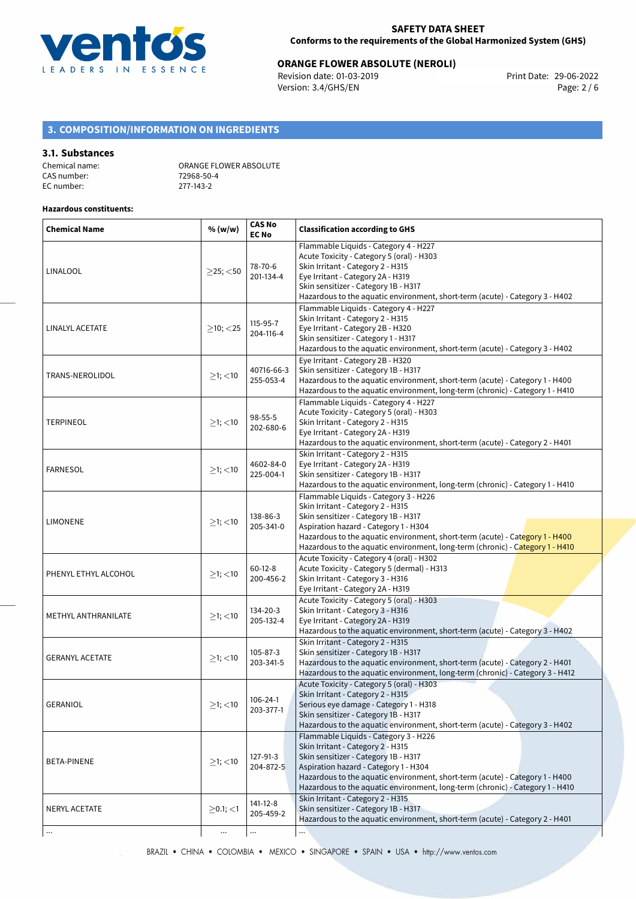

# **ORANGE FLOWER ABSOLUTE (NEROLI)**<br>Revision date: 01-03-2019 **Department Print Date: 29-06-2022**

Revision date: 01-03-2019 Version: 3.4/GHS/EN Page: 2 / 6

# **3. COMPOSITION/INFORMATION ON INGREDIENTS**

### **3.1. Substances**

| Chemical name: | ORANGE FLOWER ABSOLUTE |
|----------------|------------------------|
| CAS number:    | 72968-50-4             |
| EC number:     | 277-143-2              |

### **Hazardous constituents:**

| <b>Chemical Name</b>   | % (w/w)           | <b>CAS No</b><br><b>EC No</b> | <b>Classification according to GHS</b>                                                                                                                                                                                                                                                                                       |
|------------------------|-------------------|-------------------------------|------------------------------------------------------------------------------------------------------------------------------------------------------------------------------------------------------------------------------------------------------------------------------------------------------------------------------|
| LINALOOL               | $>$ 25; $<$ 50    | 78-70-6<br>201-134-4          | Flammable Liquids - Category 4 - H227<br>Acute Toxicity - Category 5 (oral) - H303<br>Skin Irritant - Category 2 - H315<br>Eye Irritant - Category 2A - H319<br>Skin sensitizer - Category 1B - H317<br>Hazardous to the aquatic environment, short-term (acute) - Category 3 - H402                                         |
| LINALYL ACETATE        | $\geq$ 10; <25    | 115-95-7<br>204-116-4         | Flammable Liquids - Category 4 - H227<br>Skin Irritant - Category 2 - H315<br>Eye Irritant - Category 2B - H320<br>Skin sensitizer - Category 1 - H317<br>Hazardous to the aquatic environment, short-term (acute) - Category 3 - H402                                                                                       |
| TRANS-NEROLIDOL        | $\geq$ 1; $<$ 10  | 40716-66-3<br>255-053-4       | Eye Irritant - Category 2B - H320<br>Skin sensitizer - Category 1B - H317<br>Hazardous to the aquatic environment, short-term (acute) - Category 1 - H400<br>Hazardous to the aquatic environment, long-term (chronic) - Category 1 - H410                                                                                   |
| <b>TERPINEOL</b>       | $\geq$ 1; $<$ 10  | 98-55-5<br>202-680-6          | Flammable Liquids - Category 4 - H227<br>Acute Toxicity - Category 5 (oral) - H303<br>Skin Irritant - Category 2 - H315<br>Eye Irritant - Category 2A - H319<br>Hazardous to the aquatic environment, short-term (acute) - Category 2 - H401                                                                                 |
| <b>FARNESOL</b>        | $≥1;$ < 10        | 4602-84-0<br>225-004-1        | Skin Irritant - Category 2 - H315<br>Eye Irritant - Category 2A - H319<br>Skin sensitizer - Category 1B - H317<br>Hazardous to the aquatic environment, long-term (chronic) - Category 1 - H410                                                                                                                              |
| LIMONENE               | ≥1; < 10          | 138-86-3<br>205-341-0         | Flammable Liquids - Category 3 - H226<br>Skin Irritant - Category 2 - H315<br>Skin sensitizer - Category 1B - H317<br>Aspiration hazard - Category 1 - H304<br>Hazardous to the aquatic environment, short-term (acute) - Category 1 - H400<br>Hazardous to the aquatic environment, long-term (chronic) - Category 1 - H410 |
| PHENYL ETHYL ALCOHOL   | $≥1;$ < 10        | $60 - 12 - 8$<br>200-456-2    | Acute Toxicity - Category 4 (oral) - H302<br>Acute Toxicity - Category 5 (dermal) - H313<br>Skin Irritant - Category 3 - H316<br>Eye Irritant - Category 2A - H319                                                                                                                                                           |
| METHYL ANTHRANILATE    | $\geq$ 1; $<$ 10  | 134-20-3<br>205-132-4         | Acute Toxicity - Category 5 (oral) - H303<br>Skin Irritant - Category 3 - H316<br>Eye Irritant - Category 2A - H319<br>Hazardous to the aquatic environment, short-term (acute) - Category 3 - H402                                                                                                                          |
| <b>GERANYL ACETATE</b> | $≥1;$ < 10        | $105 - 87 - 3$<br>203-341-5   | Skin Irritant - Category 2 - H315<br>Skin sensitizer - Category 1B - H317<br>Hazardous to the aquatic environment, short-term (acute) - Category 2 - H401<br>Hazardous to the aquatic environment, long-term (chronic) - Category 3 - H412                                                                                   |
| <b>GERANIOL</b>        | $\geq$ 1; $<$ 10  | 106-24-1<br>203-377-1         | Acute Toxicity - Category 5 (oral) - H303<br>Skin Irritant - Category 2 - H315<br>Serious eye damage - Category 1 - H318<br>Skin sensitizer - Category 1B - H317<br>Hazardous to the aquatic environment, short-term (acute) - Category 3 - H402                                                                             |
| BETA-PINENE            | $\geq$ 1; <10     | 127-91-3<br>204-872-5         | Flammable Liquids - Category 3 - H226<br>Skin Irritant - Category 2 - H315<br>Skin sensitizer - Category 1B - H317<br>Aspiration hazard - Category 1 - H304<br>Hazardous to the aquatic environment, short-term (acute) - Category 1 - H400<br>Hazardous to the aquatic environment, long-term (chronic) - Category 1 - H410 |
| NERYL ACETATE          | $\geq$ 0.1; $<$ 1 | 141-12-8<br>205-459-2         | Skin Irritant - Category 2 - H315<br>Skin sensitizer - Category 1B - H317<br>Hazardous to the aquatic environment, short-term (acute) - Category 2 - H401                                                                                                                                                                    |
| $\ldots$               |                   |                               |                                                                                                                                                                                                                                                                                                                              |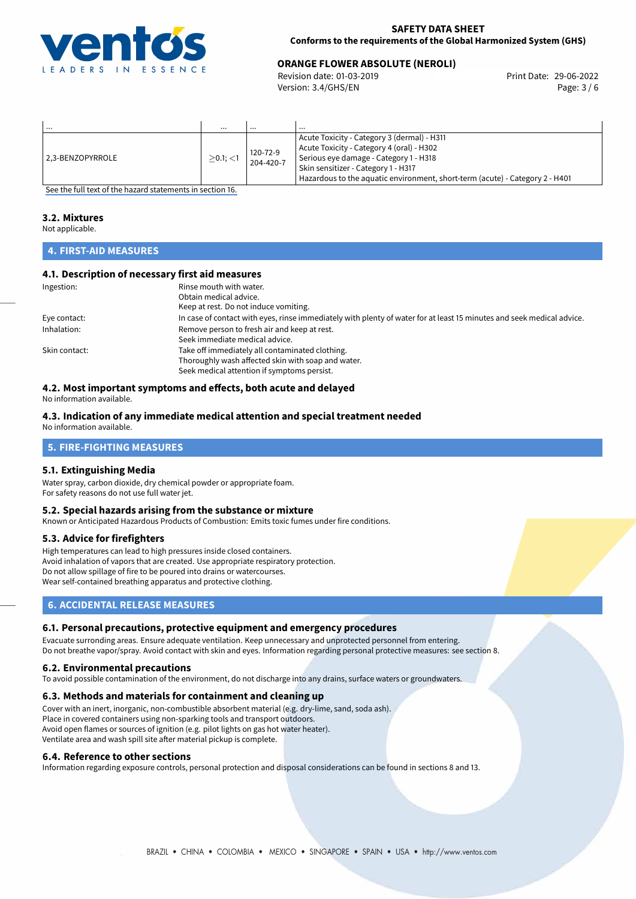

# **ORANGE FLOWER ABSOLUTE (NEROLI)**<br>
Revision date: 01-03-2019<br> **Print Date: 29-06-2022**

Revision date: 01-03-2019 Version: 3.4/GHS/EN Page: 3 / 6

| .                | $\cdots$       | $\cdots$              | $\cdots$                                                                                                                                                                                                                                                  |
|------------------|----------------|-----------------------|-----------------------------------------------------------------------------------------------------------------------------------------------------------------------------------------------------------------------------------------------------------|
| 2.3-BENZOPYRROLE | $>0.1$ ; $<$ 1 | 120-72-9<br>204-420-7 | Acute Toxicity - Category 3 (dermal) - H311<br>Acute Toxicity - Category 4 (oral) - H302<br>Serious eye damage - Category 1 - H318<br>Skin sensitizer - Category 1 - H317<br>Hazardous to the aquatic environment, short-term (acute) - Category 2 - H401 |

[See the full text of the hazard statements in section 16.](#page-5-0)

## **3.2. Mixtures**

Not applicable.

# **4. FIRST-AID MEASURES**

## **4.1. Description of necessary first aid measures**

| Ingestion:    | Rinse mouth with water.                                                                                               |
|---------------|-----------------------------------------------------------------------------------------------------------------------|
|               | Obtain medical advice.                                                                                                |
|               | Keep at rest. Do not induce vomiting.                                                                                 |
| Eye contact:  | In case of contact with eyes, rinse immediately with plenty of water for at least 15 minutes and seek medical advice. |
| Inhalation:   | Remove person to fresh air and keep at rest.                                                                          |
|               | Seek immediate medical advice.                                                                                        |
| Skin contact: | Take off immediately all contaminated clothing.                                                                       |
|               | Thoroughly wash affected skin with soap and water.                                                                    |
|               | Seek medical attention if symptoms persist.                                                                           |

## **4.2. Most important symptoms and effects, both acute and delayed**

No information available.

### **4.3. Indication of any immediate medical attention and special treatment needed** No information available.

**5. FIRE-FIGHTING MEASURES**

### **5.1. Extinguishing Media**

Water spray, carbon dioxide, dry chemical powder or appropriate foam. For safety reasons do not use full water jet.

### **5.2. Special hazards arising from the substance or mixture**

Known or Anticipated Hazardous Products of Combustion: Emits toxic fumes under fire conditions.

### **5.3. Advice for firefighters**

High temperatures can lead to high pressures inside closed containers. Avoid inhalation of vapors that are created. Use appropriate respiratory protection. Do not allow spillage of fire to be poured into drains or watercourses. Wear self-contained breathing apparatus and protective clothing.

# **6. ACCIDENTAL RELEASE MEASURES**

### **6.1. Personal precautions, protective equipment and emergency procedures**

Evacuate surronding areas. Ensure adequate ventilation. Keep unnecessary and unprotected personnel from entering. Do not breathe vapor/spray. Avoid contact with skin and eyes. Information regarding personal protective measures: see section 8.

### **6.2. Environmental precautions**

To avoid possible contamination of the environment, do not discharge into any drains, surface waters or groundwaters.

### **6.3. Methods and materials for containment and cleaning up**

Cover with an inert, inorganic, non-combustible absorbent material (e.g. dry-lime, sand, soda ash). Place in covered containers using non-sparking tools and transport outdoors. Avoid open flames or sources of ignition (e.g. pilot lights on gas hot water heater). Ventilate area and wash spill site after material pickup is complete.

### **6.4. Reference to other sections**

Information regarding exposure controls, personal protection and disposal considerations can be found in sections 8 and 13.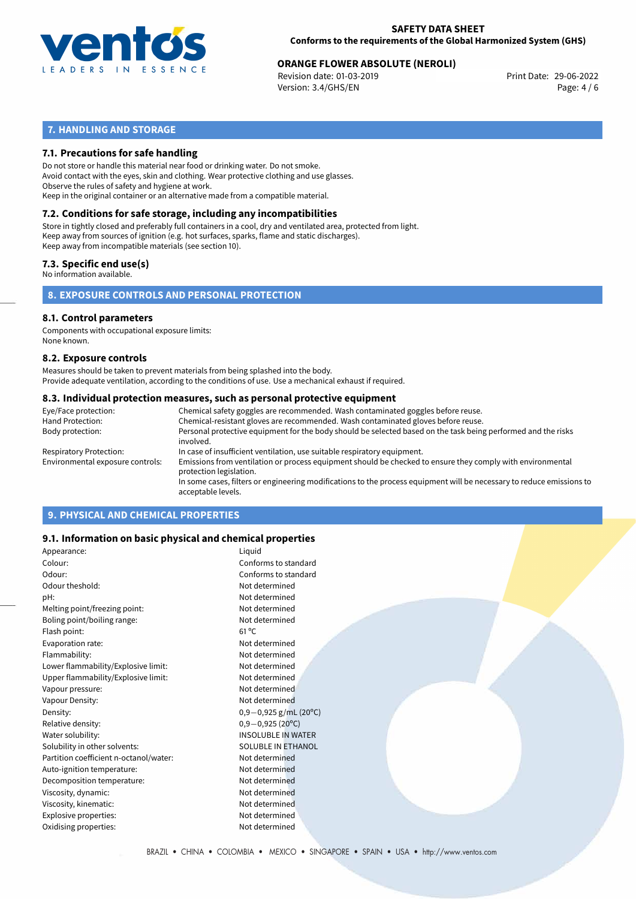

# **ORANGE FLOWER ABSOLUTE (NEROLI)**<br>
Revision date: 01-03-2019<br>
Print Date: 29-06-2022

Revision date: 01-03-2019 Version: 3.4/GHS/EN Page: 4 / 6

# **7. HANDLING AND STORAGE**

### **7.1. Precautions for safe handling**

Do not store or handle this material near food or drinking water. Do not smoke. Avoid contact with the eyes, skin and clothing. Wear protective clothing and use glasses. Observe the rules of safety and hygiene at work. Keep in the original container or an alternative made from a compatible material.

# **7.2. Conditions for safe storage, including any incompatibilities**

Store in tightly closed and preferably full containers in a cool, dry and ventilated area, protected from light. Keep away from sources of ignition (e.g. hot surfaces, sparks, flame and static discharges). Keep away from incompatible materials (see section 10).

### **7.3. Specific end use(s)**

No information available.

**8. EXPOSURE CONTROLS AND PERSONAL PROTECTION**

### **8.1. Control parameters**

Components with occupational exposure limits: None known.

### **8.2. Exposure controls**

Measures should be taken to prevent materials from being splashed into the body. Provide adequate ventilation, according to the conditions of use. Use a mechanical exhaust if required.

### **8.3. Individual protection measures, such as personal protective equipment**

| Eye/Face protection:             | Chemical safety goggles are recommended. Wash contaminated goggles before reuse.                                                            |
|----------------------------------|---------------------------------------------------------------------------------------------------------------------------------------------|
| Hand Protection:                 | Chemical-resistant gloves are recommended. Wash contaminated gloves before reuse.                                                           |
| Body protection:                 | Personal protective equipment for the body should be selected based on the task being performed and the risks<br>involved.                  |
| <b>Respiratory Protection:</b>   | In case of insufficient ventilation, use suitable respiratory equipment.                                                                    |
| Environmental exposure controls: | Emissions from ventilation or process equipment should be checked to ensure they comply with environmental<br>protection legislation.       |
|                                  | In some cases, filters or engineering modifications to the process equipment will be necessary to reduce emissions to<br>acceptable levels. |
|                                  |                                                                                                                                             |

# **9. PHYSICAL AND CHEMICAL PROPERTIES**

### **9.1. Information on basic physical and chemical properties**

| Appearance:                            | Liquid                    |
|----------------------------------------|---------------------------|
| Colour:                                | Conforms to standard      |
| Odour:                                 | Conforms to standard      |
| Odour theshold:                        | Not determined            |
| pH:                                    | Not determined            |
| Melting point/freezing point:          | Not determined            |
| Boling point/boiling range:            | Not determined            |
| Flash point:                           | $61^{\circ}$ C            |
| Evaporation rate:                      | Not determined            |
| Flammability:                          | Not determined            |
| Lower flammability/Explosive limit:    | Not determined            |
| Upper flammability/Explosive limit:    | Not determined            |
| Vapour pressure:                       | Not determined            |
| Vapour Density:                        | Not determined            |
| Density:                               | $0,9-0,925$ g/mL (20°C)   |
| Relative density:                      | $0,9-0,925(20^{\circ}C)$  |
| Water solubility:                      | <b>INSOLUBLE IN WATER</b> |
| Solubility in other solvents:          | <b>SOLUBLE IN ETHANOL</b> |
| Partition coefficient n-octanol/water: | Not determined            |
| Auto-ignition temperature:             | Not determined            |
| Decomposition temperature:             | Not determined            |
| Viscosity, dynamic:                    | Not determined            |
| Viscosity, kinematic:                  | Not determined            |
| Explosive properties:                  | Not determined            |
| Oxidising properties:                  | Not determined            |
|                                        |                           |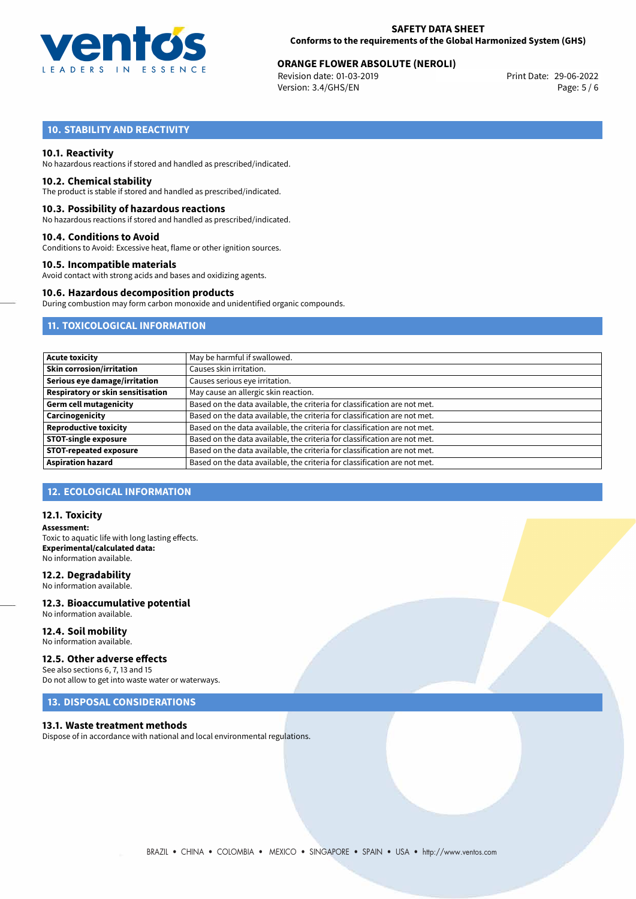

# **ORANGE FLOWER ABSOLUTE (NEROLI)**<br>
Revision date: 01-03-2019<br>
Print Date: 29-06-2022

Revision date: 01-03-2019 Version: 3.4/GHS/EN Page: 5 / 6

# **10. STABILITY AND REACTIVITY**

### **10.1. Reactivity**

No hazardous reactions if stored and handled as prescribed/indicated.

### **10.2. Chemical stability**

The product is stable if stored and handled as prescribed/indicated.

### **10.3. Possibility of hazardous reactions**

No hazardous reactions if stored and handled as prescribed/indicated.

### **10.4. Conditions to Avoid**

Conditions to Avoid: Excessive heat, flame or other ignition sources.

### **10.5. Incompatible materials**

Avoid contact with strong acids and bases and oxidizing agents.

### **10.6. Hazardous decomposition products**

During combustion may form carbon monoxide and unidentified organic compounds.

# **11. TOXICOLOGICAL INFORMATION**

| May be harmful if swallowed.                                              |
|---------------------------------------------------------------------------|
| Causes skin irritation.                                                   |
| Causes serious eye irritation.                                            |
| May cause an allergic skin reaction.                                      |
| Based on the data available, the criteria for classification are not met. |
| Based on the data available, the criteria for classification are not met. |
| Based on the data available, the criteria for classification are not met. |
| Based on the data available, the criteria for classification are not met. |
| Based on the data available, the criteria for classification are not met. |
| Based on the data available, the criteria for classification are not met. |
|                                                                           |

# **12. ECOLOGICAL INFORMATION**

### **12.1. Toxicity**

**Assessment:** Toxic to aquatic life with long lasting effects. **Experimental/calculated data:** No information available.

### **12.2. Degradability**

No information available.

### **12.3. Bioaccumulative potential** No information available.

**12.4. Soil mobility** No information available.

## **12.5. Other adverse effects**

See also sections 6, 7, 13 and 15 Do not allow to get into waste water or waterways.

# **13. DISPOSAL CONSIDERATIONS**

### **13.1. Waste treatment methods**

Dispose of in accordance with national and local environmental regulations.